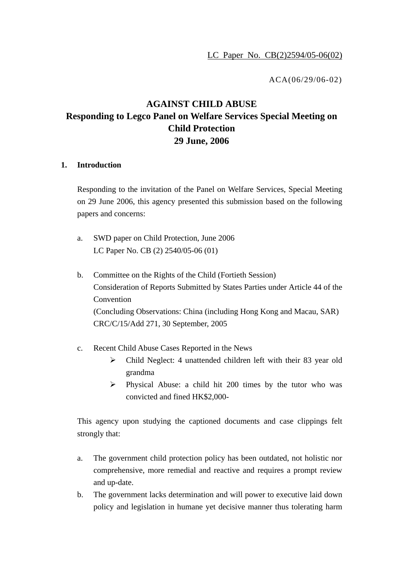ACA(06/29/06-02)

# **AGAINST CHILD ABUSE Responding to Legco Panel on Welfare Services Special Meeting on Child Protection 29 June, 2006**

#### **1. Introduction**

Responding to the invitation of the Panel on Welfare Services, Special Meeting on 29 June 2006, this agency presented this submission based on the following papers and concerns:

- a. SWD paper on Child Protection, June 2006 LC Paper No. CB (2) 2540/05-06 (01)
- b. Committee on the Rights of the Child (Fortieth Session) Consideration of Reports Submitted by States Parties under Article 44 of the Convention (Concluding Observations: China (including Hong Kong and Macau, SAR) CRC/C/15/Add 271, 30 September, 2005
- c. Recent Child Abuse Cases Reported in the News
	- ¾ Child Neglect: 4 unattended children left with their 83 year old grandma
	- ¾ Physical Abuse: a child hit 200 times by the tutor who was convicted and fined HK\$2,000-

This agency upon studying the captioned documents and case clippings felt strongly that:

- a. The government child protection policy has been outdated, not holistic nor comprehensive, more remedial and reactive and requires a prompt review and up-date.
- b. The government lacks determination and will power to executive laid down policy and legislation in humane yet decisive manner thus tolerating harm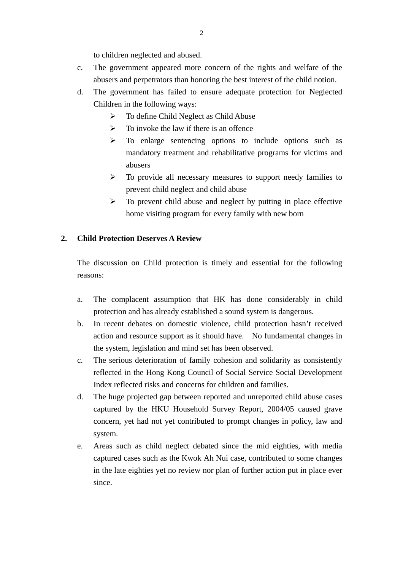to children neglected and abused.

- c. The government appeared more concern of the rights and welfare of the abusers and perpetrators than honoring the best interest of the child notion.
- d. The government has failed to ensure adequate protection for Neglected Children in the following ways:
	- $\triangleright$  To define Child Neglect as Child Abuse
	- $\triangleright$  To invoke the law if there is an offence
	- ¾ To enlarge sentencing options to include options such as mandatory treatment and rehabilitative programs for victims and abusers
	- ¾ To provide all necessary measures to support needy families to prevent child neglect and child abuse
	- $\triangleright$  To prevent child abuse and neglect by putting in place effective home visiting program for every family with new born

## **2. Child Protection Deserves A Review**

The discussion on Child protection is timely and essential for the following reasons:

- a. The complacent assumption that HK has done considerably in child protection and has already established a sound system is dangerous.
- b. In recent debates on domestic violence, child protection hasn't received action and resource support as it should have. No fundamental changes in the system, legislation and mind set has been observed.
- c. The serious deterioration of family cohesion and solidarity as consistently reflected in the Hong Kong Council of Social Service Social Development Index reflected risks and concerns for children and families.
- d. The huge projected gap between reported and unreported child abuse cases captured by the HKU Household Survey Report, 2004/05 caused grave concern, yet had not yet contributed to prompt changes in policy, law and system.
- e. Areas such as child neglect debated since the mid eighties, with media captured cases such as the Kwok Ah Nui case, contributed to some changes in the late eighties yet no review nor plan of further action put in place ever since.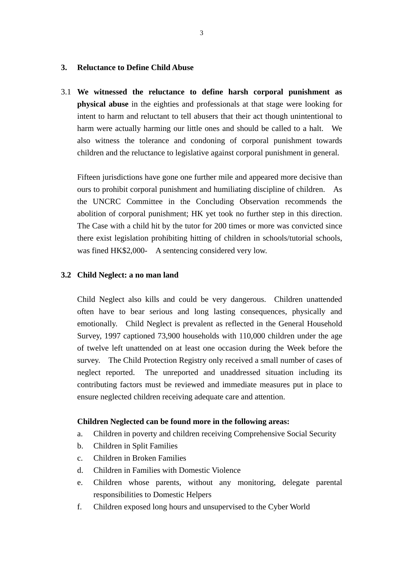#### **3. Reluctance to Define Child Abuse**

3.1 **We witnessed the reluctance to define harsh corporal punishment as physical abuse** in the eighties and professionals at that stage were looking for intent to harm and reluctant to tell abusers that their act though unintentional to harm were actually harming our little ones and should be called to a halt. We also witness the tolerance and condoning of corporal punishment towards children and the reluctance to legislative against corporal punishment in general.

Fifteen jurisdictions have gone one further mile and appeared more decisive than ours to prohibit corporal punishment and humiliating discipline of children. As the UNCRC Committee in the Concluding Observation recommends the abolition of corporal punishment; HK yet took no further step in this direction. The Case with a child hit by the tutor for 200 times or more was convicted since there exist legislation prohibiting hitting of children in schools/tutorial schools, was fined HK\$2,000- A sentencing considered very low.

#### **3.2 Child Neglect: a no man land**

Child Neglect also kills and could be very dangerous. Children unattended often have to bear serious and long lasting consequences, physically and emotionally. Child Neglect is prevalent as reflected in the General Household Survey, 1997 captioned 73,900 households with 110,000 children under the age of twelve left unattended on at least one occasion during the Week before the survey. The Child Protection Registry only received a small number of cases of neglect reported. The unreported and unaddressed situation including its contributing factors must be reviewed and immediate measures put in place to ensure neglected children receiving adequate care and attention.

#### **Children Neglected can be found more in the following areas:**

- a. Children in poverty and children receiving Comprehensive Social Security
- b. Children in Split Families
- c. Children in Broken Families
- d. Children in Families with Domestic Violence
- e. Children whose parents, without any monitoring, delegate parental responsibilities to Domestic Helpers
- f. Children exposed long hours and unsupervised to the Cyber World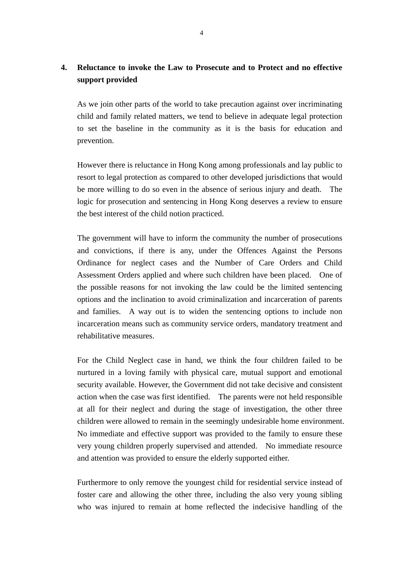## **4. Reluctance to invoke the Law to Prosecute and to Protect and no effective support provided**

As we join other parts of the world to take precaution against over incriminating child and family related matters, we tend to believe in adequate legal protection to set the baseline in the community as it is the basis for education and prevention.

However there is reluctance in Hong Kong among professionals and lay public to resort to legal protection as compared to other developed jurisdictions that would be more willing to do so even in the absence of serious injury and death. The logic for prosecution and sentencing in Hong Kong deserves a review to ensure the best interest of the child notion practiced.

The government will have to inform the community the number of prosecutions and convictions, if there is any, under the Offences Against the Persons Ordinance for neglect cases and the Number of Care Orders and Child Assessment Orders applied and where such children have been placed. One of the possible reasons for not invoking the law could be the limited sentencing options and the inclination to avoid criminalization and incarceration of parents and families. A way out is to widen the sentencing options to include non incarceration means such as community service orders, mandatory treatment and rehabilitative measures.

For the Child Neglect case in hand, we think the four children failed to be nurtured in a loving family with physical care, mutual support and emotional security available. However, the Government did not take decisive and consistent action when the case was first identified. The parents were not held responsible at all for their neglect and during the stage of investigation, the other three children were allowed to remain in the seemingly undesirable home environment. No immediate and effective support was provided to the family to ensure these very young children properly supervised and attended. No immediate resource and attention was provided to ensure the elderly supported either.

Furthermore to only remove the youngest child for residential service instead of foster care and allowing the other three, including the also very young sibling who was injured to remain at home reflected the indecisive handling of the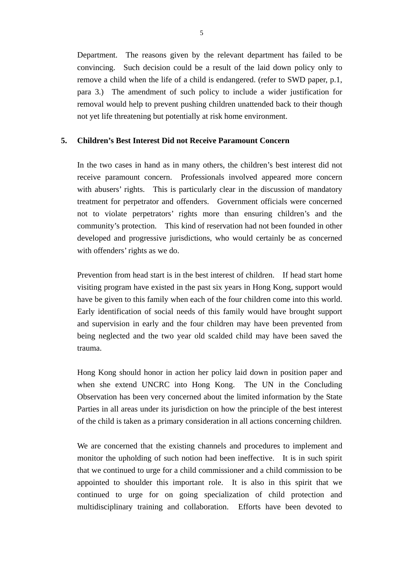Department. The reasons given by the relevant department has failed to be convincing. Such decision could be a result of the laid down policy only to remove a child when the life of a child is endangered. (refer to SWD paper, p.1, para 3.) The amendment of such policy to include a wider justification for removal would help to prevent pushing children unattended back to their though not yet life threatening but potentially at risk home environment.

### **5. Children's Best Interest Did not Receive Paramount Concern**

In the two cases in hand as in many others, the children's best interest did not receive paramount concern. Professionals involved appeared more concern with abusers' rights. This is particularly clear in the discussion of mandatory treatment for perpetrator and offenders. Government officials were concerned not to violate perpetrators' rights more than ensuring children's and the community's protection. This kind of reservation had not been founded in other developed and progressive jurisdictions, who would certainly be as concerned with offenders' rights as we do.

Prevention from head start is in the best interest of children. If head start home visiting program have existed in the past six years in Hong Kong, support would have be given to this family when each of the four children come into this world. Early identification of social needs of this family would have brought support and supervision in early and the four children may have been prevented from being neglected and the two year old scalded child may have been saved the trauma.

Hong Kong should honor in action her policy laid down in position paper and when she extend UNCRC into Hong Kong. The UN in the Concluding Observation has been very concerned about the limited information by the State Parties in all areas under its jurisdiction on how the principle of the best interest of the child is taken as a primary consideration in all actions concerning children.

We are concerned that the existing channels and procedures to implement and monitor the upholding of such notion had been ineffective. It is in such spirit that we continued to urge for a child commissioner and a child commission to be appointed to shoulder this important role. It is also in this spirit that we continued to urge for on going specialization of child protection and multidisciplinary training and collaboration. Efforts have been devoted to